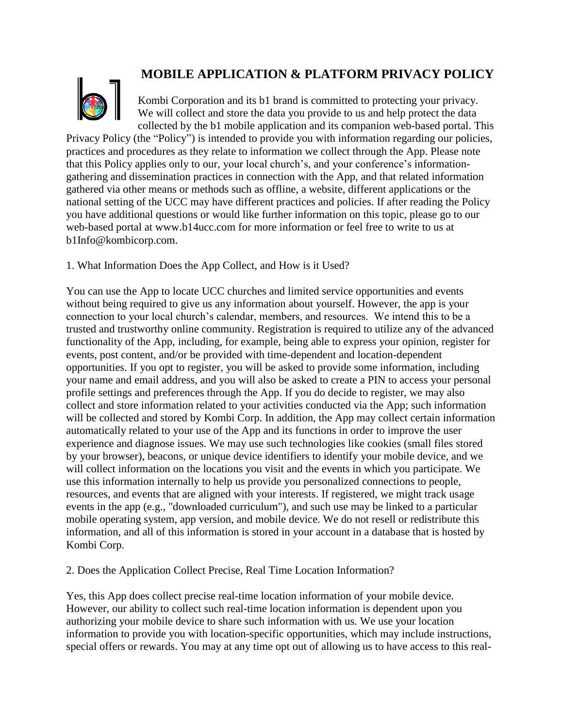# **MOBILE APPLICATION & PLATFORM PRIVACY POLICY**



Kombi Corporation and its b1 brand is committed to protecting your privacy. We will collect and store the data you provide to us and help protect the data collected by the b1 mobile application and its companion web-based portal. This

Privacy Policy (the "Policy") is intended to provide you with information regarding our policies, practices and procedures as they relate to information we collect through the App. Please note that this Policy applies only to our, your local church's, and your conference's informationgathering and dissemination practices in connection with the App, and that related information gathered via other means or methods such as offline, a website, different applications or the national setting of the UCC may have different practices and policies. If after reading the Policy you have additional questions or would like further information on this topic, please go to our web-based portal at www.b14ucc.com for more information or feel free to write to us at b1Info@kombicorp.com.

1. What Information Does the App Collect, and How is it Used?

You can use the App to locate UCC churches and limited service opportunities and events without being required to give us any information about yourself. However, the app is your connection to your local church's calendar, members, and resources. We intend this to be a trusted and trustworthy online community. Registration is required to utilize any of the advanced functionality of the App, including, for example, being able to express your opinion, register for events, post content, and/or be provided with time-dependent and location-dependent opportunities. If you opt to register, you will be asked to provide some information, including your name and email address, and you will also be asked to create a PIN to access your personal profile settings and preferences through the App. If you do decide to register, we may also collect and store information related to your activities conducted via the App; such information will be collected and stored by Kombi Corp. In addition, the App may collect certain information automatically related to your use of the App and its functions in order to improve the user experience and diagnose issues. We may use such technologies like cookies (small files stored by your browser), beacons, or unique device identifiers to identify your mobile device, and we will collect information on the locations you visit and the events in which you participate. We use this information internally to help us provide you personalized connections to people, resources, and events that are aligned with your interests. If registered, we might track usage events in the app (e.g., "downloaded curriculum"), and such use may be linked to a particular mobile operating system, app version, and mobile device. We do not resell or redistribute this information, and all of this information is stored in your account in a database that is hosted by Kombi Corp.

## 2. Does the Application Collect Precise, Real Time Location Information?

Yes, this App does collect precise real-time location information of your mobile device. However, our ability to collect such real-time location information is dependent upon you authorizing your mobile device to share such information with us. We use your location information to provide you with location-specific opportunities, which may include instructions, special offers or rewards. You may at any time opt out of allowing us to have access to this real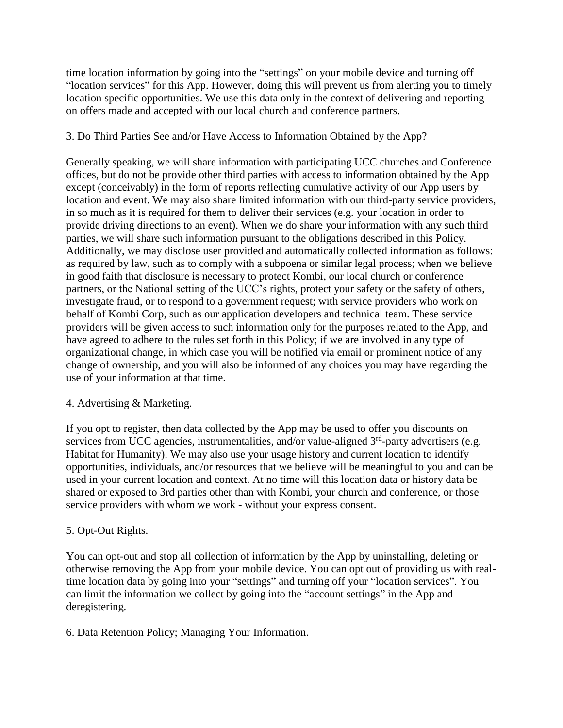time location information by going into the "settings" on your mobile device and turning off "location services" for this App. However, doing this will prevent us from alerting you to timely location specific opportunities. We use this data only in the context of delivering and reporting on offers made and accepted with our local church and conference partners.

## 3. Do Third Parties See and/or Have Access to Information Obtained by the App?

Generally speaking, we will share information with participating UCC churches and Conference offices, but do not be provide other third parties with access to information obtained by the App except (conceivably) in the form of reports reflecting cumulative activity of our App users by location and event. We may also share limited information with our third-party service providers, in so much as it is required for them to deliver their services (e.g. your location in order to provide driving directions to an event). When we do share your information with any such third parties, we will share such information pursuant to the obligations described in this Policy. Additionally, we may disclose user provided and automatically collected information as follows: as required by law, such as to comply with a subpoena or similar legal process; when we believe in good faith that disclosure is necessary to protect Kombi, our local church or conference partners, or the National setting of the UCC's rights, protect your safety or the safety of others, investigate fraud, or to respond to a government request; with service providers who work on behalf of Kombi Corp, such as our application developers and technical team. These service providers will be given access to such information only for the purposes related to the App, and have agreed to adhere to the rules set forth in this Policy; if we are involved in any type of organizational change, in which case you will be notified via email or prominent notice of any change of ownership, and you will also be informed of any choices you may have regarding the use of your information at that time.

## 4. Advertising & Marketing.

If you opt to register, then data collected by the App may be used to offer you discounts on services from UCC agencies, instrumentalities, and/or value-aligned 3<sup>rd</sup>-party advertisers (e.g. Habitat for Humanity). We may also use your usage history and current location to identify opportunities, individuals, and/or resources that we believe will be meaningful to you and can be used in your current location and context. At no time will this location data or history data be shared or exposed to 3rd parties other than with Kombi, your church and conference, or those service providers with whom we work - without your express consent.

## 5. Opt-Out Rights.

You can opt-out and stop all collection of information by the App by uninstalling, deleting or otherwise removing the App from your mobile device. You can opt out of providing us with realtime location data by going into your "settings" and turning off your "location services". You can limit the information we collect by going into the "account settings" in the App and deregistering.

6. Data Retention Policy; Managing Your Information.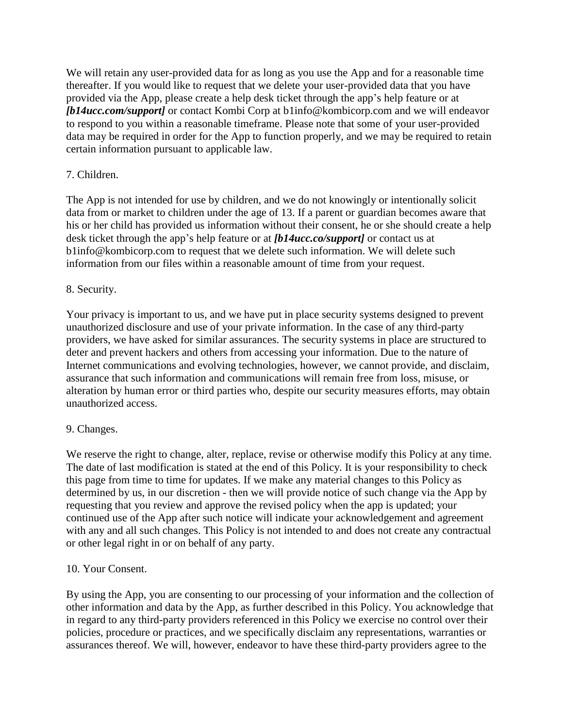We will retain any user-provided data for as long as you use the App and for a reasonable time thereafter. If you would like to request that we delete your user-provided data that you have provided via the App, please create a help desk ticket through the app's help feature or at *[b14ucc.com/support]* or contact Kombi Corp at b1info@kombicorp.com and we will endeavor to respond to you within a reasonable timeframe. Please note that some of your user-provided data may be required in order for the App to function properly, and we may be required to retain certain information pursuant to applicable law.

## 7. Children.

The App is not intended for use by children, and we do not knowingly or intentionally solicit data from or market to children under the age of 13. If a parent or guardian becomes aware that his or her child has provided us information without their consent, he or she should create a help desk ticket through the app's help feature or at *[b14ucc.co/support]* or contact us at b1info@kombicorp.com to request that we delete such information. We will delete such information from our files within a reasonable amount of time from your request.

## 8. Security.

Your privacy is important to us, and we have put in place security systems designed to prevent unauthorized disclosure and use of your private information. In the case of any third-party providers, we have asked for similar assurances. The security systems in place are structured to deter and prevent hackers and others from accessing your information. Due to the nature of Internet communications and evolving technologies, however, we cannot provide, and disclaim, assurance that such information and communications will remain free from loss, misuse, or alteration by human error or third parties who, despite our security measures efforts, may obtain unauthorized access.

## 9. Changes.

We reserve the right to change, alter, replace, revise or otherwise modify this Policy at any time. The date of last modification is stated at the end of this Policy. It is your responsibility to check this page from time to time for updates. If we make any material changes to this Policy as determined by us, in our discretion - then we will provide notice of such change via the App by requesting that you review and approve the revised policy when the app is updated; your continued use of the App after such notice will indicate your acknowledgement and agreement with any and all such changes. This Policy is not intended to and does not create any contractual or other legal right in or on behalf of any party.

## 10. Your Consent.

By using the App, you are consenting to our processing of your information and the collection of other information and data by the App, as further described in this Policy. You acknowledge that in regard to any third-party providers referenced in this Policy we exercise no control over their policies, procedure or practices, and we specifically disclaim any representations, warranties or assurances thereof. We will, however, endeavor to have these third-party providers agree to the